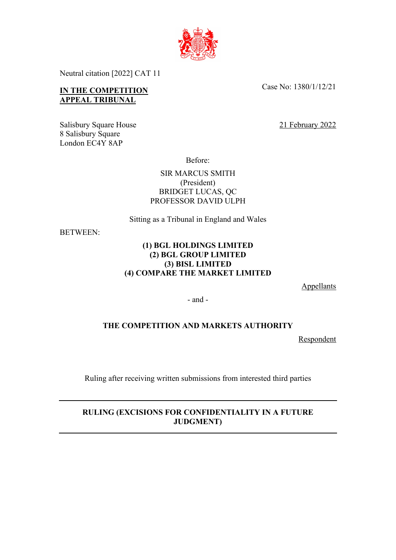

Neutral citation [2022] CAT 11

## **IN THE COMPETITION APPEAL TRIBUNAL**

Salisbury Square House 21 February 2022 8 Salisbury Square London EC4Y 8AP

Case No: 1380/1/12/21

Before:

SIR MARCUS SMITH (President) BRIDGET LUCAS, QC PROFESSOR DAVID ULPH

Sitting as a Tribunal in England and Wales

BETWEEN:

## **(1) BGL HOLDINGS LIMITED (2) BGL GROUP LIMITED (3) BISL LIMITED (4) COMPARE THE MARKET LIMITED**

**Appellants** 

- and -

## **THE COMPETITION AND MARKETS AUTHORITY**

Respondent

Ruling after receiving written submissions from interested third parties

## **RULING (EXCISIONS FOR CONFIDENTIALITY IN A FUTURE JUDGMENT)**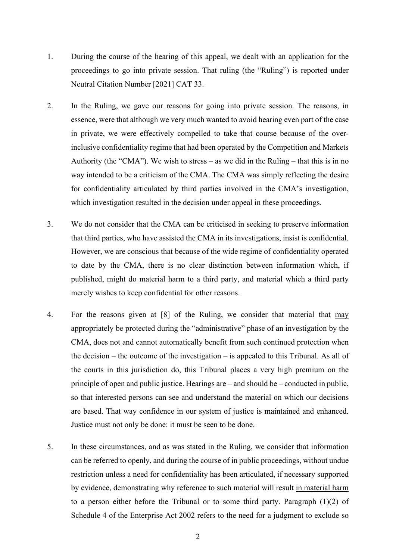- 1. During the course of the hearing of this appeal, we dealt with an application for the proceedings to go into private session. That ruling (the "Ruling") is reported under Neutral Citation Number [2021] CAT 33.
- 2. In the Ruling, we gave our reasons for going into private session. The reasons, in essence, were that although we very much wanted to avoid hearing even part of the case in private, we were effectively compelled to take that course because of the overinclusive confidentiality regime that had been operated by the Competition and Markets Authority (the "CMA"). We wish to stress – as we did in the Ruling – that this is in no way intended to be a criticism of the CMA. The CMA was simply reflecting the desire for confidentiality articulated by third parties involved in the CMA's investigation, which investigation resulted in the decision under appeal in these proceedings.
- 3. We do not consider that the CMA can be criticised in seeking to preserve information that third parties, who have assisted the CMA in its investigations, insist is confidential. However, we are conscious that because of the wide regime of confidentiality operated to date by the CMA, there is no clear distinction between information which, if published, might do material harm to a third party, and material which a third party merely wishes to keep confidential for other reasons.
- 4. For the reasons given at [8] of the Ruling, we consider that material that may appropriately be protected during the "administrative" phase of an investigation by the CMA, does not and cannot automatically benefit from such continued protection when the decision – the outcome of the investigation – is appealed to this Tribunal. As all of the courts in this jurisdiction do, this Tribunal places a very high premium on the principle of open and public justice. Hearings are – and should be – conducted in public, so that interested persons can see and understand the material on which our decisions are based. That way confidence in our system of justice is maintained and enhanced. Justice must not only be done: it must be seen to be done.
- 5. In these circumstances, and as was stated in the Ruling, we consider that information can be referred to openly, and during the course of in public proceedings, without undue restriction unless a need for confidentiality has been articulated, if necessary supported by evidence, demonstrating why reference to such material will result in material harm to a person either before the Tribunal or to some third party. Paragraph (1)(2) of Schedule 4 of the Enterprise Act 2002 refers to the need for a judgment to exclude so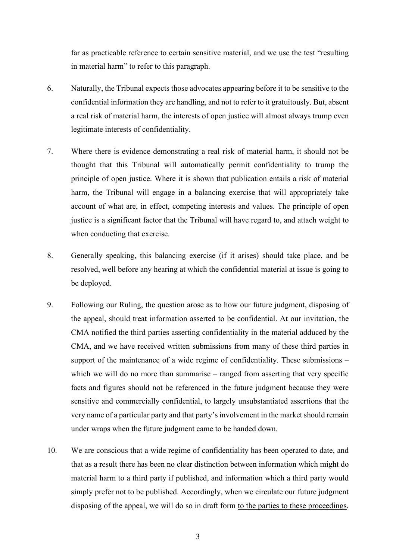far as practicable reference to certain sensitive material, and we use the test "resulting in material harm" to refer to this paragraph.

- 6. Naturally, the Tribunal expects those advocates appearing before it to be sensitive to the confidential information they are handling, and not to refer to it gratuitously. But, absent a real risk of material harm, the interests of open justice will almost always trump even legitimate interests of confidentiality.
- 7. Where there is evidence demonstrating a real risk of material harm, it should not be thought that this Tribunal will automatically permit confidentiality to trump the principle of open justice. Where it is shown that publication entails a risk of material harm, the Tribunal will engage in a balancing exercise that will appropriately take account of what are, in effect, competing interests and values. The principle of open justice is a significant factor that the Tribunal will have regard to, and attach weight to when conducting that exercise.
- 8. Generally speaking, this balancing exercise (if it arises) should take place, and be resolved, well before any hearing at which the confidential material at issue is going to be deployed.
- 9. Following our Ruling, the question arose as to how our future judgment, disposing of the appeal, should treat information asserted to be confidential. At our invitation, the CMA notified the third parties asserting confidentiality in the material adduced by the CMA, and we have received written submissions from many of these third parties in support of the maintenance of a wide regime of confidentiality. These submissions – which we will do no more than summarise – ranged from asserting that very specific facts and figures should not be referenced in the future judgment because they were sensitive and commercially confidential, to largely unsubstantiated assertions that the very name of a particular party and that party's involvement in the market should remain under wraps when the future judgment came to be handed down.
- 10. We are conscious that a wide regime of confidentiality has been operated to date, and that as a result there has been no clear distinction between information which might do material harm to a third party if published, and information which a third party would simply prefer not to be published. Accordingly, when we circulate our future judgment disposing of the appeal, we will do so in draft form to the parties to these proceedings.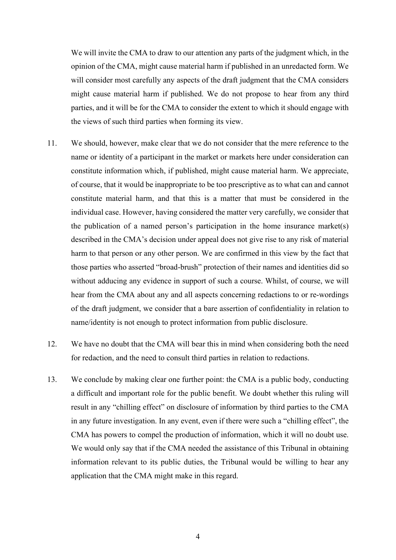We will invite the CMA to draw to our attention any parts of the judgment which, in the opinion of the CMA, might cause material harm if published in an unredacted form. We will consider most carefully any aspects of the draft judgment that the CMA considers might cause material harm if published. We do not propose to hear from any third parties, and it will be for the CMA to consider the extent to which it should engage with the views of such third parties when forming its view.

- 11. We should, however, make clear that we do not consider that the mere reference to the name or identity of a participant in the market or markets here under consideration can constitute information which, if published, might cause material harm. We appreciate, of course, that it would be inappropriate to be too prescriptive as to what can and cannot constitute material harm, and that this is a matter that must be considered in the individual case. However, having considered the matter very carefully, we consider that the publication of a named person's participation in the home insurance market(s) described in the CMA's decision under appeal does not give rise to any risk of material harm to that person or any other person. We are confirmed in this view by the fact that those parties who asserted "broad-brush" protection of their names and identities did so without adducing any evidence in support of such a course. Whilst, of course, we will hear from the CMA about any and all aspects concerning redactions to or re-wordings of the draft judgment, we consider that a bare assertion of confidentiality in relation to name/identity is not enough to protect information from public disclosure.
- 12. We have no doubt that the CMA will bear this in mind when considering both the need for redaction, and the need to consult third parties in relation to redactions.
- 13. We conclude by making clear one further point: the CMA is a public body, conducting a difficult and important role for the public benefit. We doubt whether this ruling will result in any "chilling effect" on disclosure of information by third parties to the CMA in any future investigation. In any event, even if there were such a "chilling effect", the CMA has powers to compel the production of information, which it will no doubt use. We would only say that if the CMA needed the assistance of this Tribunal in obtaining information relevant to its public duties, the Tribunal would be willing to hear any application that the CMA might make in this regard.